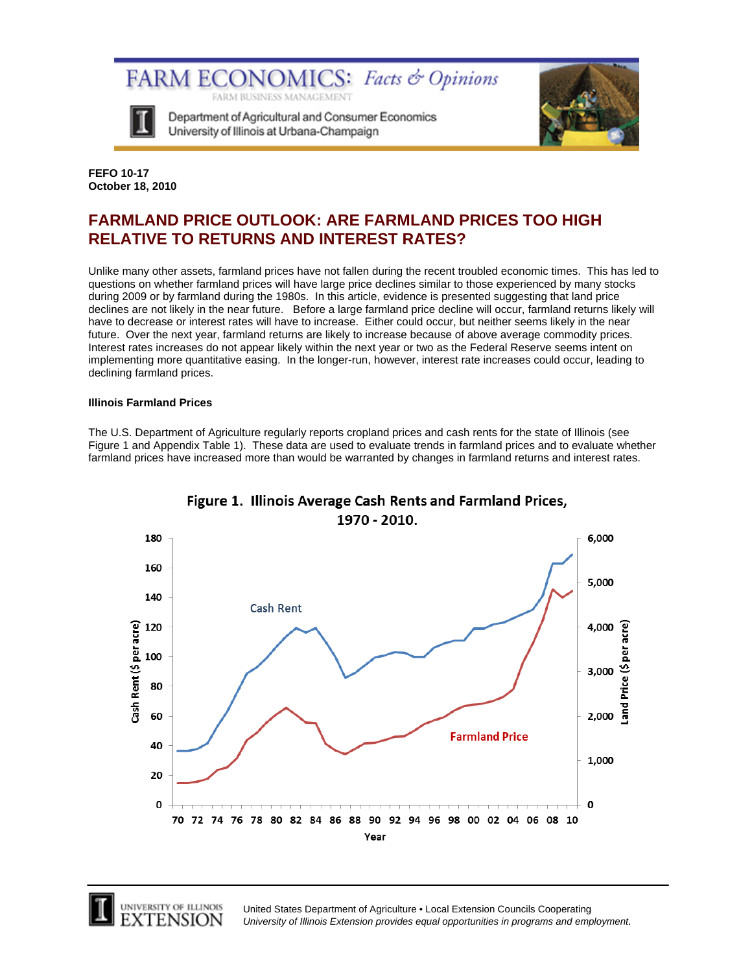

Department of Agricultural and Consumer Economics University of Illinois at Urbana-Champaign



**FEFO 10-17 October 18, 2010** 

# **FARMLAND PRICE OUTLOOK: ARE FARMLAND PRICES TOO HIGH RELATIVE TO RETURNS AND INTEREST RATES?**

Unlike many other assets, farmland prices have not fallen during the recent troubled economic times. This has led to questions on whether farmland prices will have large price declines similar to those experienced by many stocks during 2009 or by farmland during the 1980s. In this article, evidence is presented suggesting that land price declines are not likely in the near future. Before a large farmland price decline will occur, farmland returns likely will have to decrease or interest rates will have to increase. Either could occur, but neither seems likely in the near future. Over the next year, farmland returns are likely to increase because of above average commodity prices. Interest rates increases do not appear likely within the next year or two as the Federal Reserve seems intent on implementing more quantitative easing. In the longer-run, however, interest rate increases could occur, leading to declining farmland prices.

## **Illinois Farmland Prices**

The U.S. Department of Agriculture regularly reports cropland prices and cash rents for the state of Illinois (see Figure 1 and Appendix Table 1). These data are used to evaluate trends in farmland prices and to evaluate whether farmland prices have increased more than would be warranted by changes in farmland returns and interest rates.



## Figure 1. Illinois Average Cash Rents and Farmland Prices, 1970 - 2010.



UNIVERSITY OF ILLINOIS XTENSION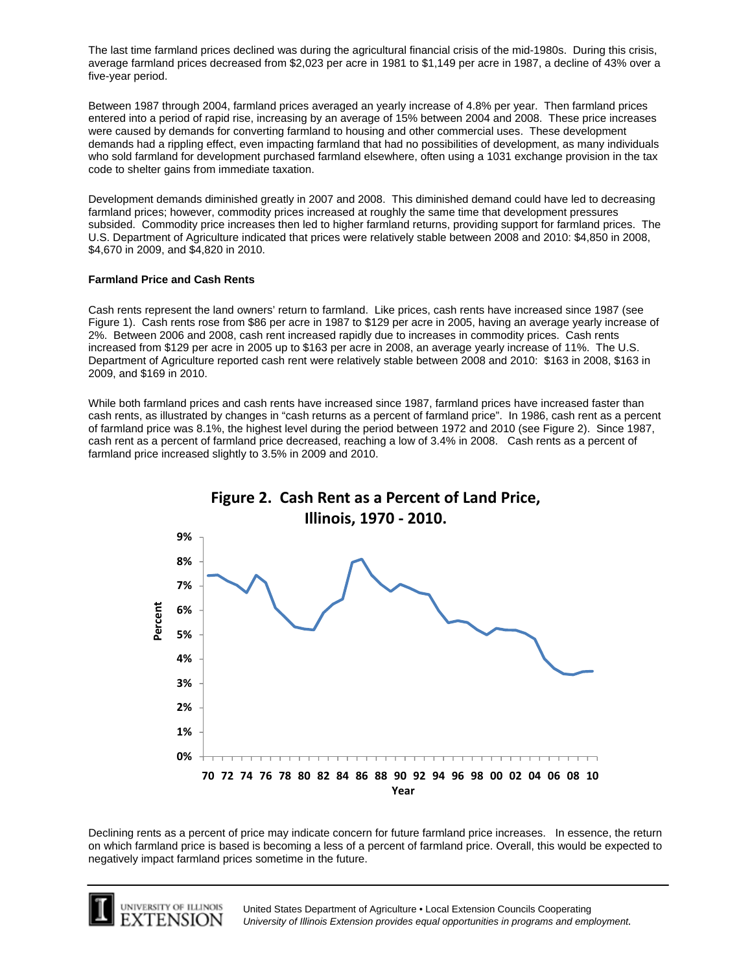The last time farmland prices declined was during the agricultural financial crisis of the mid-1980s. During this crisis, average farmland prices decreased from \$2,023 per acre in 1981 to \$1,149 per acre in 1987, a decline of 43% over a five-year period.

Between 1987 through 2004, farmland prices averaged an yearly increase of 4.8% per year. Then farmland prices entered into a period of rapid rise, increasing by an average of 15% between 2004 and 2008. These price increases were caused by demands for converting farmland to housing and other commercial uses. These development demands had a rippling effect, even impacting farmland that had no possibilities of development, as many individuals who sold farmland for development purchased farmland elsewhere, often using a 1031 exchange provision in the tax code to shelter gains from immediate taxation.

Development demands diminished greatly in 2007 and 2008. This diminished demand could have led to decreasing farmland prices; however, commodity prices increased at roughly the same time that development pressures subsided. Commodity price increases then led to higher farmland returns, providing support for farmland prices. The U.S. Department of Agriculture indicated that prices were relatively stable between 2008 and 2010: \$4,850 in 2008, \$4,670 in 2009, and \$4,820 in 2010.

## **Farmland Price and Cash Rents**

Cash rents represent the land owners' return to farmland. Like prices, cash rents have increased since 1987 (see Figure 1). Cash rents rose from \$86 per acre in 1987 to \$129 per acre in 2005, having an average yearly increase of 2%. Between 2006 and 2008, cash rent increased rapidly due to increases in commodity prices. Cash rents increased from \$129 per acre in 2005 up to \$163 per acre in 2008, an average yearly increase of 11%. The U.S. Department of Agriculture reported cash rent were relatively stable between 2008 and 2010: \$163 in 2008, \$163 in 2009, and \$169 in 2010.

While both farmland prices and cash rents have increased since 1987, farmland prices have increased faster than cash rents, as illustrated by changes in "cash returns as a percent of farmland price". In 1986, cash rent as a percent of farmland price was 8.1%, the highest level during the period between 1972 and 2010 (see Figure 2). Since 1987, cash rent as a percent of farmland price decreased, reaching a low of 3.4% in 2008. Cash rents as a percent of farmland price increased slightly to 3.5% in 2009 and 2010.



Declining rents as a percent of price may indicate concern for future farmland price increases. In essence, the return on which farmland price is based is becoming a less of a percent of farmland price. Overall, this would be expected to negatively impact farmland prices sometime in the future.

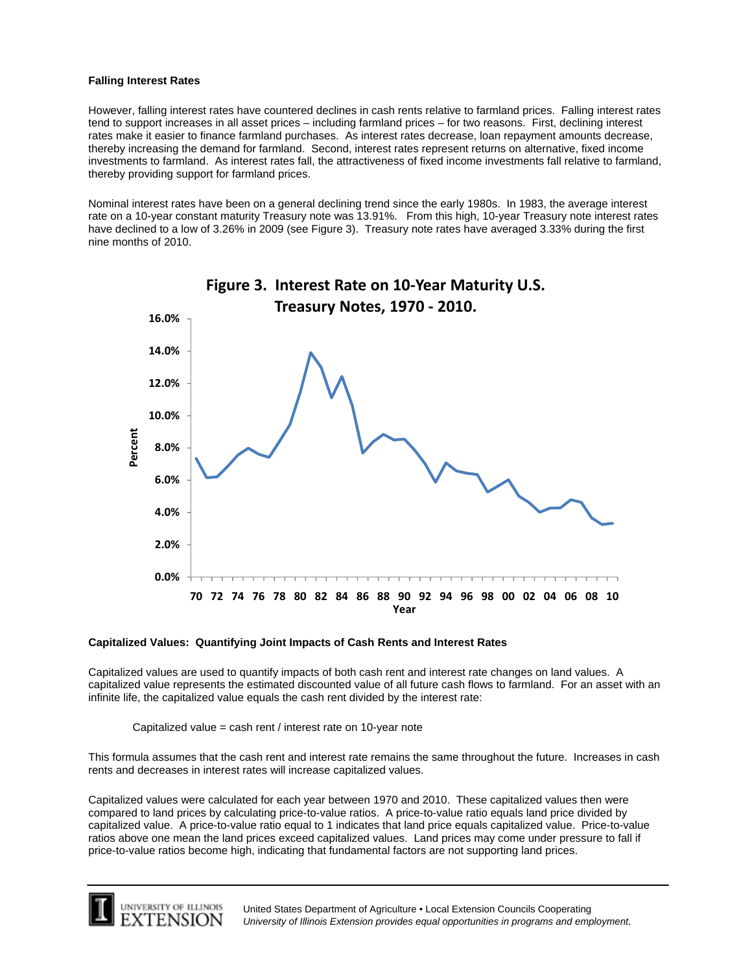#### **Falling Interest Rates**

However, falling interest rates have countered declines in cash rents relative to farmland prices. Falling interest rates tend to support increases in all asset prices – including farmland prices – for two reasons. First, declining interest rates make it easier to finance farmland purchases. As interest rates decrease, loan repayment amounts decrease, thereby increasing the demand for farmland. Second, interest rates represent returns on alternative, fixed income investments to farmland. As interest rates fall, the attractiveness of fixed income investments fall relative to farmland, thereby providing support for farmland prices.

Nominal interest rates have been on a general declining trend since the early 1980s. In 1983, the average interest rate on a 10-year constant maturity Treasury note was 13.91%. From this high, 10-year Treasury note interest rates have declined to a low of 3.26% in 2009 (see Figure 3). Treasury note rates have averaged 3.33% during the first nine months of 2010.



#### **Capitalized Values: Quantifying Joint Impacts of Cash Rents and Interest Rates**

Capitalized values are used to quantify impacts of both cash rent and interest rate changes on land values. A capitalized value represents the estimated discounted value of all future cash flows to farmland. For an asset with an infinite life, the capitalized value equals the cash rent divided by the interest rate:

Capitalized value = cash rent / interest rate on 10-year note

This formula assumes that the cash rent and interest rate remains the same throughout the future. Increases in cash rents and decreases in interest rates will increase capitalized values.

Capitalized values were calculated for each year between 1970 and 2010. These capitalized values then were compared to land prices by calculating price-to-value ratios. A price-to-value ratio equals land price divided by capitalized value. A price-to-value ratio equal to 1 indicates that land price equals capitalized value. Price-to-value ratios above one mean the land prices exceed capitalized values. Land prices may come under pressure to fall if price-to-value ratios become high, indicating that fundamental factors are not supporting land prices.

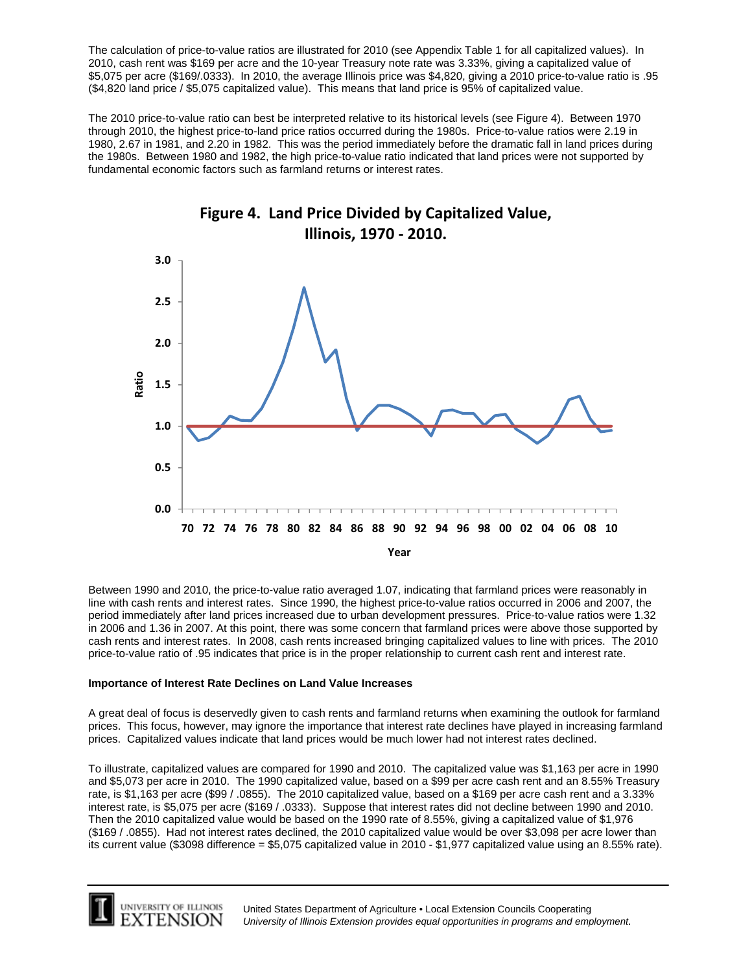The calculation of price-to-value ratios are illustrated for 2010 (see Appendix Table 1 for all capitalized values). In 2010, cash rent was \$169 per acre and the 10-year Treasury note rate was 3.33%, giving a capitalized value of \$5,075 per acre (\$169/.0333). In 2010, the average Illinois price was \$4,820, giving a 2010 price-to-value ratio is .95 (\$4,820 land price / \$5,075 capitalized value). This means that land price is 95% of capitalized value.

The 2010 price-to-value ratio can best be interpreted relative to its historical levels (see Figure 4). Between 1970 through 2010, the highest price-to-land price ratios occurred during the 1980s. Price-to-value ratios were 2.19 in 1980, 2.67 in 1981, and 2.20 in 1982. This was the period immediately before the dramatic fall in land prices during the 1980s. Between 1980 and 1982, the high price-to-value ratio indicated that land prices were not supported by fundamental economic factors such as farmland returns or interest rates.



Between 1990 and 2010, the price-to-value ratio averaged 1.07, indicating that farmland prices were reasonably in line with cash rents and interest rates. Since 1990, the highest price-to-value ratios occurred in 2006 and 2007, the period immediately after land prices increased due to urban development pressures. Price-to-value ratios were 1.32 in 2006 and 1.36 in 2007. At this point, there was some concern that farmland prices were above those supported by cash rents and interest rates. In 2008, cash rents increased bringing capitalized values to line with prices. The 2010 price-to-value ratio of .95 indicates that price is in the proper relationship to current cash rent and interest rate.

### **Importance of Interest Rate Declines on Land Value Increases**

A great deal of focus is deservedly given to cash rents and farmland returns when examining the outlook for farmland prices. This focus, however, may ignore the importance that interest rate declines have played in increasing farmland prices. Capitalized values indicate that land prices would be much lower had not interest rates declined.

To illustrate, capitalized values are compared for 1990 and 2010. The capitalized value was \$1,163 per acre in 1990 and \$5,073 per acre in 2010. The 1990 capitalized value, based on a \$99 per acre cash rent and an 8.55% Treasury rate, is \$1,163 per acre (\$99 / .0855). The 2010 capitalized value, based on a \$169 per acre cash rent and a 3.33% interest rate, is \$5,075 per acre (\$169 / .0333). Suppose that interest rates did not decline between 1990 and 2010. Then the 2010 capitalized value would be based on the 1990 rate of 8.55%, giving a capitalized value of \$1,976 (\$169 / .0855). Had not interest rates declined, the 2010 capitalized value would be over \$3,098 per acre lower than its current value (\$3098 difference = \$5,075 capitalized value in 2010 - \$1,977 capitalized value using an 8.55% rate).

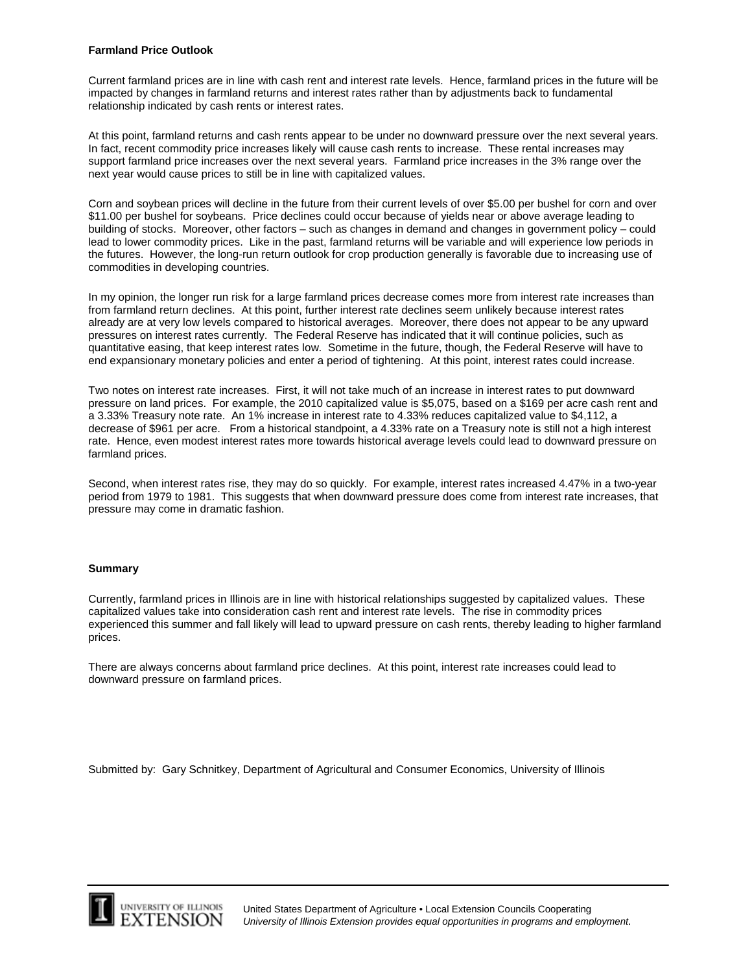#### **Farmland Price Outlook**

Current farmland prices are in line with cash rent and interest rate levels. Hence, farmland prices in the future will be impacted by changes in farmland returns and interest rates rather than by adjustments back to fundamental relationship indicated by cash rents or interest rates.

At this point, farmland returns and cash rents appear to be under no downward pressure over the next several years. In fact, recent commodity price increases likely will cause cash rents to increase. These rental increases may support farmland price increases over the next several years. Farmland price increases in the 3% range over the next year would cause prices to still be in line with capitalized values.

Corn and soybean prices will decline in the future from their current levels of over \$5.00 per bushel for corn and over \$11.00 per bushel for soybeans. Price declines could occur because of yields near or above average leading to building of stocks. Moreover, other factors – such as changes in demand and changes in government policy – could lead to lower commodity prices. Like in the past, farmland returns will be variable and will experience low periods in the futures. However, the long-run return outlook for crop production generally is favorable due to increasing use of commodities in developing countries.

In my opinion, the longer run risk for a large farmland prices decrease comes more from interest rate increases than from farmland return declines. At this point, further interest rate declines seem unlikely because interest rates already are at very low levels compared to historical averages. Moreover, there does not appear to be any upward pressures on interest rates currently. The Federal Reserve has indicated that it will continue policies, such as quantitative easing, that keep interest rates low. Sometime in the future, though, the Federal Reserve will have to end expansionary monetary policies and enter a period of tightening. At this point, interest rates could increase.

Two notes on interest rate increases. First, it will not take much of an increase in interest rates to put downward pressure on land prices. For example, the 2010 capitalized value is \$5,075, based on a \$169 per acre cash rent and a 3.33% Treasury note rate. An 1% increase in interest rate to 4.33% reduces capitalized value to \$4,112, a decrease of \$961 per acre. From a historical standpoint, a 4.33% rate on a Treasury note is still not a high interest rate. Hence, even modest interest rates more towards historical average levels could lead to downward pressure on farmland prices.

Second, when interest rates rise, they may do so quickly. For example, interest rates increased 4.47% in a two-year period from 1979 to 1981. This suggests that when downward pressure does come from interest rate increases, that pressure may come in dramatic fashion.

### **Summary**

Currently, farmland prices in Illinois are in line with historical relationships suggested by capitalized values. These capitalized values take into consideration cash rent and interest rate levels. The rise in commodity prices experienced this summer and fall likely will lead to upward pressure on cash rents, thereby leading to higher farmland prices.

There are always concerns about farmland price declines. At this point, interest rate increases could lead to downward pressure on farmland prices.

Submitted by: Gary Schnitkey, Department of Agricultural and Consumer Economics, University of Illinois